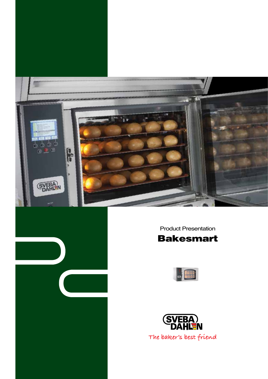



Product Presentation





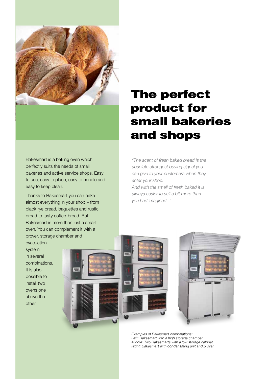

Bakesmart is a baking oven which perfectly suits the needs of small bakeries and active service shops. Easy to use, easy to place, easy to handle and easy to keep clean.

Thanks to Bakesmart you can bake almost everything in your shop – from black rye bread, baguettes and rustic bread to tasty coffee-bread. But Bakesmart is more than just a smart oven. You can complement it with a prover, storage chamber and evacuation

system in several combinations. It is also possible to install two ovens one above the other.



# The perfect product for small bakeries and shops

"The scent of fresh baked bread is the absolute strongest buying signal you can give to your customers when they enter your shop. And with the smell of fresh baked it is

always easier to sell a bit more than you had imagined..."



Examples of Bakesmart combinations: Left: Bakesmart with a high storage chamber. Middle: Two Bakesmarts with a low storage cabinet. Right: Bakesmart with condensating unit and prover.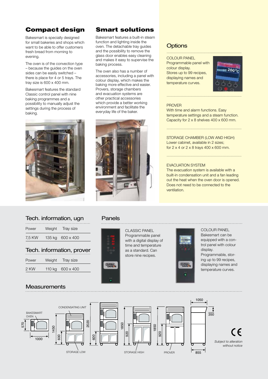# Compact design

Bakesmart is specially designed for small bakeries and shops which want to be able to offer customers fresh bread from morning to evening.

The oven is of the convection type – because the guides on the oven sides can be easily switched – there is place for 4 or 5 trays. The tray size is 600 x 400 mm.

Bakesmart features the standard Classic control panel with nine baking programmes and a possibility to manually adjust the settings during the process of baking.



# Smart solutions

Bakesmart features a built-in steam function and lighting inside the oven. The detachable tray guides and the possibility to remove the glass door enables easy cleaning and makes it easy to supervise the baking process.

The oven also has a number of accessories, including a panel with colour display, which makes the baking more effective and easier. Provers, storage chambers and evacuation systems are other practical accessories which provide a better working environment and facilitate the everyday life of the baker.



## **Options**

Colour Panel Programmable panel with colour display. Stores up to 99 recipes, displaying names and temperature curves.



### **PROVER**

With time and alarm functions. Easy temperature settings and a steam function. Capacity for 2 x 8 shelves 400 x 600 mm.

.............................................................................................

.............................................................................................

.............................................................................................

### Storage chamber (low and high) Lower cabinet, available in 2 sizes; for 2 x 4 or 2 x 8 trays 400 x 600 mm.

### Evacuation system

The evacuation system is available with a built-in condensation unit and a fan leading out the heat when the oven door is opened. Does not need to be connected to the ventilation.

.............................................................................................

## Tech. information, ugn

| Power  | Weight | Tray size        |  |
|--------|--------|------------------|--|
| 7.5 KW |        | 135 kg 600 x 400 |  |

| Tech. information, prover |  |                  |  |  |
|---------------------------|--|------------------|--|--|
| Power                     |  | Weight Tray size |  |  |
| 2 KW                      |  | 110 kg 600 x 400 |  |  |

### **Measurements**

## Panels



CLASSIC PANEL Programmable panel with a digital display of time and temperature as a standard. Can store nine recipes.



### colour PANEL Bakesmart can be equipped with a control panel with colour display.

Programmable, storing up to 99 recipes, displaying names and temperature curves.